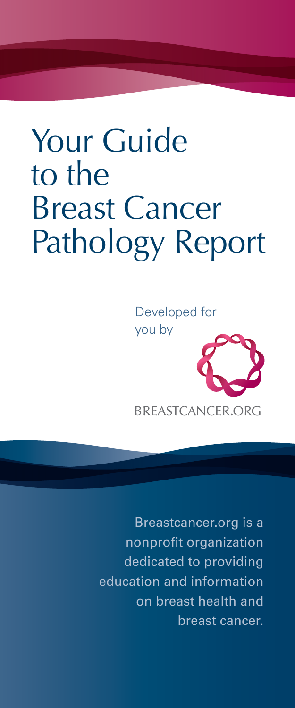# Your Guide to the Breast Cancer Pathology Report

Developed for you by



BREASTCANCER.ORG

Breastcancer.org is a nonprofit organization dedicated to providing education and information on breast health and breast cancer.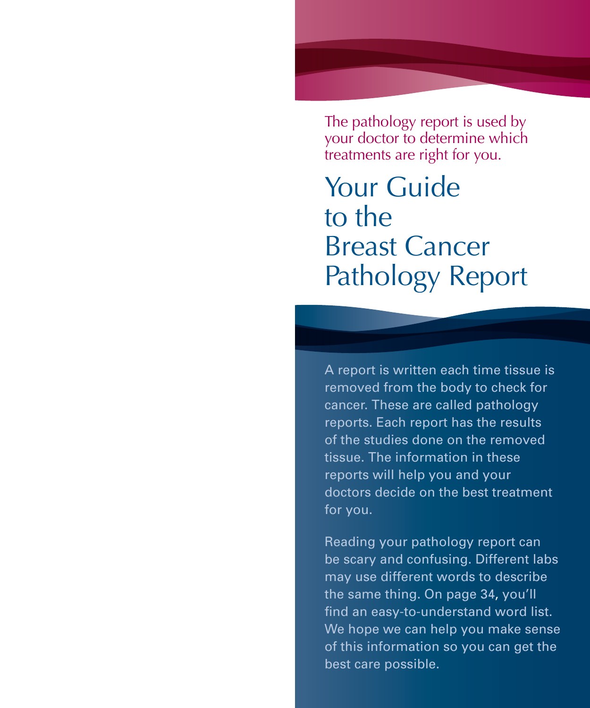The pathology report is used by your doctor to determine which treatments are right for you.

Your Guide to the Breast Cancer Pathology Report

A report is written each time tissue is removed from the body to check for cancer. These are called pathology reports. Each report has the results of the studies done on the removed tissue. The information in these reports will help you and your doctors decide on the best treatment for you.

Reading your pathology report can be scary and confusing. Different labs may use different words to describe the same thing. On page 34, you'll find an easy-to-understand word list. We hope we can help you make sense of this information so you can get the best care possible.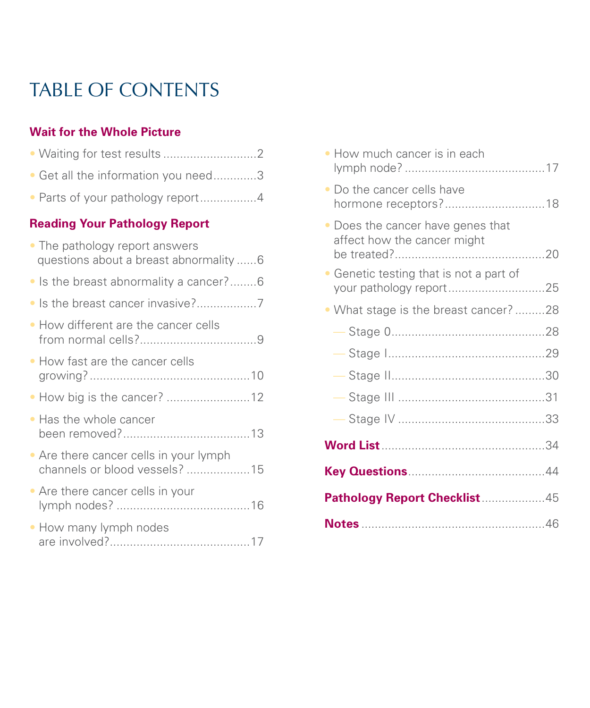# TABLE OF CONTENTS

#### **Wait for the Whole Picture**

| Get all the information you need3<br>$\bullet$                                     |
|------------------------------------------------------------------------------------|
| • Parts of your pathology report4                                                  |
| <b>Reading Your Pathology Report</b>                                               |
| • The pathology report answers<br>questions about a breast abnormality 6           |
| • Is the breast abnormality a cancer?6                                             |
| Is the breast cancer invasive?7<br>$\bullet$                                       |
| • How different are the cancer cells                                               |
| • How fast are the cancer cells                                                    |
| • How big is the cancer? 12                                                        |
| Has the whole cancer<br>$\bullet$                                                  |
| Are there cancer cells in your lymph<br>$\bullet$<br>channels or blood vessels? 15 |
| • Are there cancer cells in your                                                   |
| . How many lymph nodes                                                             |

| • How much cancer is in each                                       |  |
|--------------------------------------------------------------------|--|
| Do the cancer cells have<br>$\bullet$                              |  |
| • Does the cancer have genes that<br>affect how the cancer might   |  |
| • Genetic testing that is not a part of<br>your pathology report25 |  |
| • What stage is the breast cancer? 28                              |  |
|                                                                    |  |
| $\overline{\phantom{m}}$                                           |  |
| $\overline{\phantom{m}}$                                           |  |
|                                                                    |  |
|                                                                    |  |
|                                                                    |  |
|                                                                    |  |
| Pathology Report Checklist 45                                      |  |
|                                                                    |  |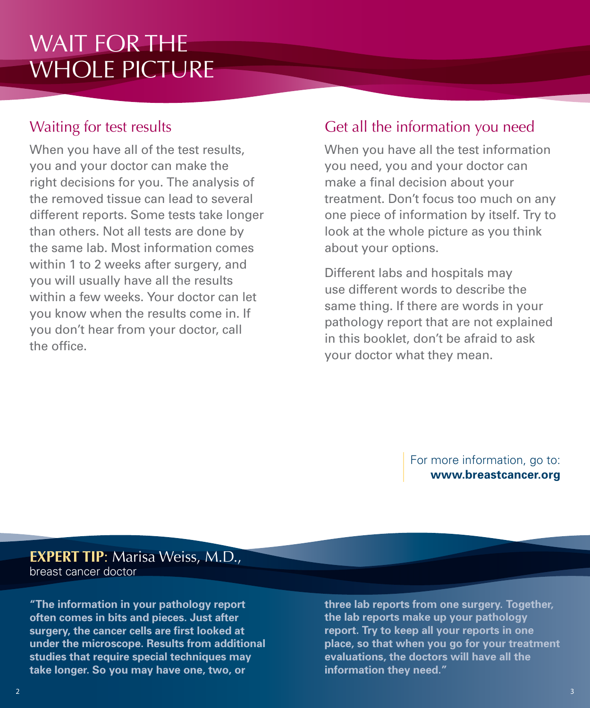# WAIT FOR THE WHOLE PICTURE

# Waiting for test results

When you have all of the test results, you and your doctor can make the right decisions for you. The analysis of the removed tissue can lead to several different reports. Some tests take longer than others. Not all tests are done by the same lab. Most information comes within 1 to 2 weeks after surgery, and you will usually have all the results within a few weeks. Your doctor can let you know when the results come in. If you don't hear from your doctor, call the office.

# Get all the information you need

When you have all the test information you need, you and your doctor can make a final decision about your treatment. Don't focus too much on any one piece of information by itself. Try to look at the whole picture as you think about your options.

Different labs and hospitals may use different words to describe the same thing. If there are words in your pathology report that are not explained in this booklet, don't be afraid to ask your doctor what they mean.

> For more information, go to: **www.breastcancer.org**

**EXPERT TIP**: Marisa Weiss, M.D., breast cancer doctor

**"The information in your pathology report often comes in bits and pieces. Just after surgery, the cancer cells are first looked at under the microscope. Results from additional studies that require special techniques may take longer. So you may have one, two, or** 

**three lab reports from one surgery. Together, the lab reports make up your pathology report. Try to keep all your reports in one place, so that when you go for your treatment evaluations, the doctors will have all the information they need."**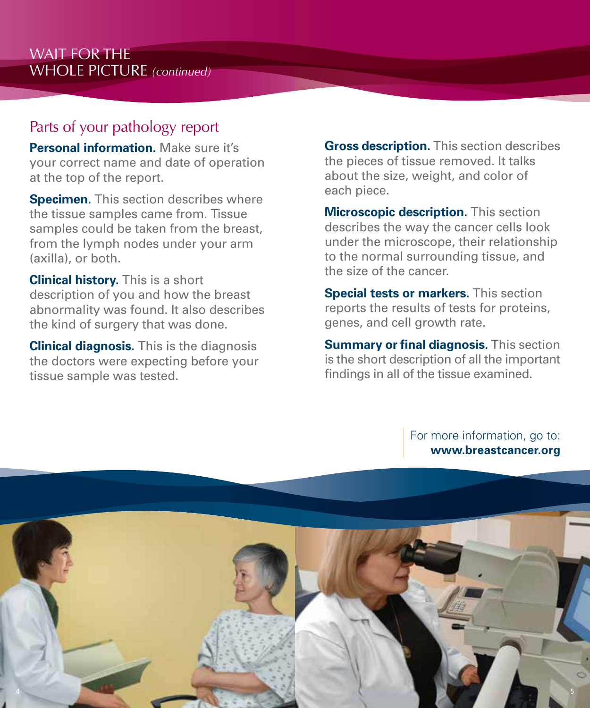## Parts of your pathology report

**Personal information.** Make sure it's your correct name and date of operation at the top of the report.

**Specimen.** This section describes where the tissue samples came from. Tissue samples could be taken from the breast, from the lymph nodes under your arm (axilla), or both.

**Clinical history.** This is a short description of you and how the breast abnormality was found. It also describes the kind of surgery that was done.

**Clinical diagnosis.** This is the diagnosis the doctors were expecting before your tissue sample was tested.

**Gross description.** This section describes the pieces of tissue removed. It talks about the size, weight, and color of each piece.

**Microscopic description.** This section describes the way the cancer cells look under the microscope, their relationship to the normal surrounding tissue, and the size of the cancer.

**Special tests or markers.** This section reports the results of tests for proteins, genes, and cell growth rate.

**Summary or final diagnosis.** This section is the short description of all the important findings in all of the tissue examined.

For more information, go to:

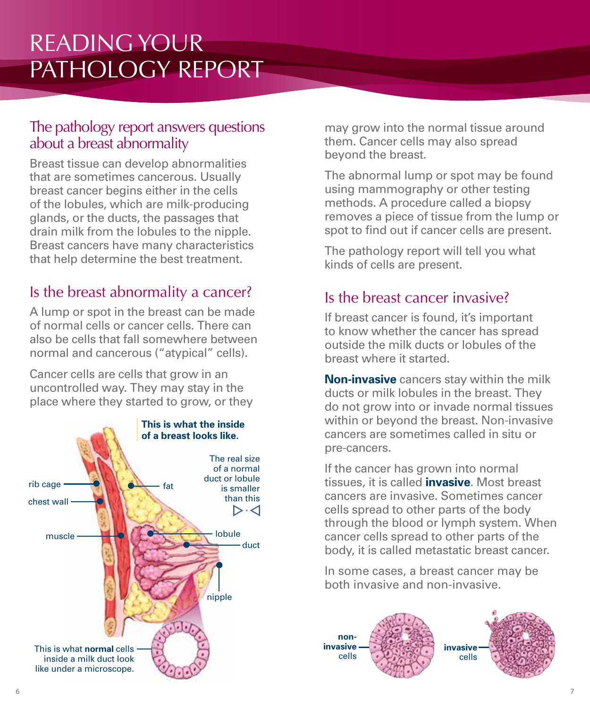# READING YOUR PATHOLOGY REPORT

#### The pathology report answers questions about a breast abnormality

Breast tissue can develop abnormalities that are sometimes cancerous. Usually breast cancer begins either in the cells of the lobules, which are milk-producing glands, or the ducts, the passages that drain milk from the lobules to the nipple. Breast cancers have many characteristics that help determine the best treatment.

# Is the breast abnormality a cancer?

A lump or spot in the breast can be made of normal cells or cancer cells. There can also be cells that fall somewhere between normal and cancerous ("atypical" cells).

Cancer cells are cells that grow in an uncontrolled way. They may stay in the place where they started to grow, or they



may grow into the normal tissue around them. Cancer cells may also spread beyond the breast.

The abnormal lump or spot may be found using mammography or other testing methods. A procedure called a biopsy removes a piece of tissue from the lump or spot to find out if cancer cells are present.

The pathology report will tell you what kinds of cells are present.

# Is the breast cancer invasive?

If breast cancer is found, it's important to know whether the cancer has spread outside the milk ducts or lobules of the breast where it started.

**Non-invasive** cancers stay within the milk ducts or milk lobules in the breast. They do not grow into or invade normal tissues within or beyond the breast. Non-invasive cancers are sometimes called in situ or pre-cancers.

If the cancer has grown into normal tissues, it is called **invasive**. Most breast cancers are invasive. Sometimes cancer cells spread to other parts of the body through the blood or lymph system. When cancer cells spread to other parts of the body, it is called metastatic breast cancer.

In some cases, a breast cancer may be both invasive and non-invasive.

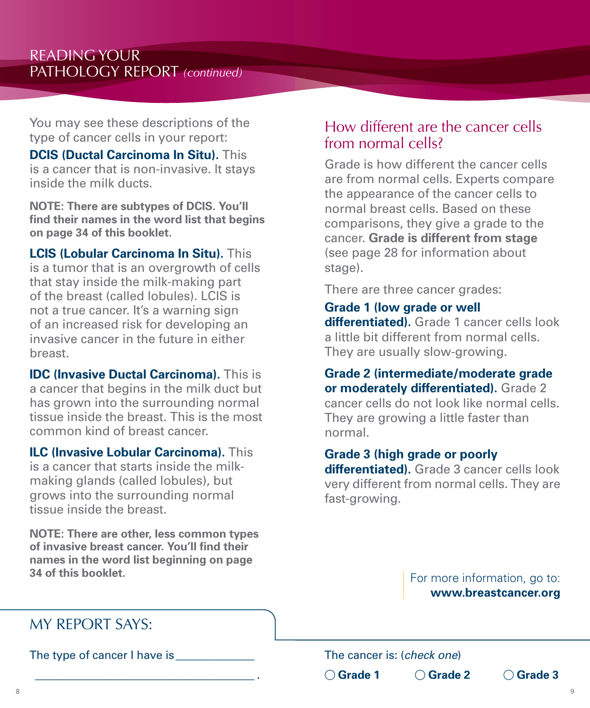You may see these descriptions of the type of cancer cells in your report:

**DCIS (Ductal Carcinoma In Situ).** This is a cancer that is non-invasive. It stays inside the milk ducts.

**NOTE: There are subtypes of DCIS. You'll find their names in the word list that begins on page 34 of this booklet.**

**LCIS (Lobular Carcinoma In Situ).** This is a tumor that is an overgrowth of cells that stay inside the milk-making part of the breast (called lobules). LCIS is not a true cancer. It's a warning sign of an increased risk for developing an invasive cancer in the future in either breast.

**IDC (Invasive Ductal Carcinoma).** This is a cancer that begins in the milk duct but has grown into the surrounding normal tissue inside the breast. This is the most common kind of breast cancer.

**ILC (Invasive Lobular Carcinoma).** This is a cancer that starts inside the milkmaking glands (called lobules), but grows into the surrounding normal tissue inside the breast.

**NOTE: There are other, less common types of invasive breast cancer. You'll find their names in the word list beginning on page 34 of this booklet.**

\_\_\_\_\_\_\_\_\_\_\_\_\_\_\_\_\_\_\_\_\_\_\_\_\_\_\_\_\_\_\_\_\_\_\_\_\_\_\_ .

#### How different are the cancer cells from normal cells?

Grade is how different the cancer cells are from normal cells. Experts compare the appearance of the cancer cells to normal breast cells. Based on these comparisons, they give a grade to the cancer. **Grade is different from stage** (see page 28 for information about stage).

There are three cancer grades:

#### **Grade 1 (low grade or well**

**differentiated).** Grade 1 cancer cells look a little bit different from normal cells. They are usually slow-growing.

**Grade 2 (intermediate/moderate grade or moderately differentiated).** Grade 2 cancer cells do not look like normal cells. They are growing a little faster than normal.

#### **Grade 3 (high grade or poorly**

**differentiated).** Grade 3 cancer cells look very different from normal cells. They are fast-growing.

> For more information, go to: **www.breastcancer.org**

# MY REPORT SAYS:

The type of cancer I have is

The cancer is: (*check one*) **O** Grade 1 ○ Grade 2 ○ Grade 3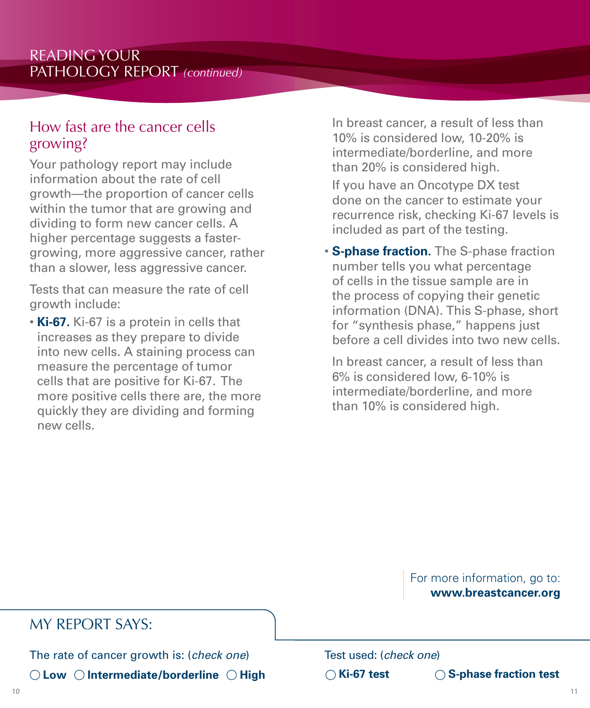#### How fast are the cancer cells growing?

Your pathology report may include information about the rate of cell growth—the proportion of cancer cells within the tumor that are growing and dividing to form new cancer cells. A higher percentage suggests a fastergrowing, more aggressive cancer, rather than a slower, less aggressive cancer.

Tests that can measure the rate of cell growth include:

• **Ki-67.** Ki-67 is a protein in cells that increases as they prepare to divide into new cells. A staining process can measure the percentage of tumor cells that are positive for Ki-67. The more positive cells there are, the more quickly they are dividing and forming new cells.

 In breast cancer, a result of less than 10% is considered low, 10-20% is intermediate/borderline, and more than 20% is considered high.

 If you have an Oncotype DX test done on the cancer to estimate your recurrence risk, checking Ki-67 levels is included as part of the testing.

• **S-phase fraction.** The S-phase fraction number tells you what percentage of cells in the tissue sample are in the process of copying their genetic information (DNA). This S-phase, short for "synthesis phase," happens just before a cell divides into two new cells.

 In breast cancer, a result of less than 6% is considered low, 6-10% is intermediate/borderline, and more than 10% is considered high.

> For more information, go to: **www.breastcancer.org**

#### MY REPORT SAYS:

The rate of cancer growth is: (*check one*)  $\bigcirc$  Low  $\bigcirc$  Intermediate/borderline  $\bigcirc$  High Test used: (*check one*)

j **Ki-67 test** j **S-phase fraction test**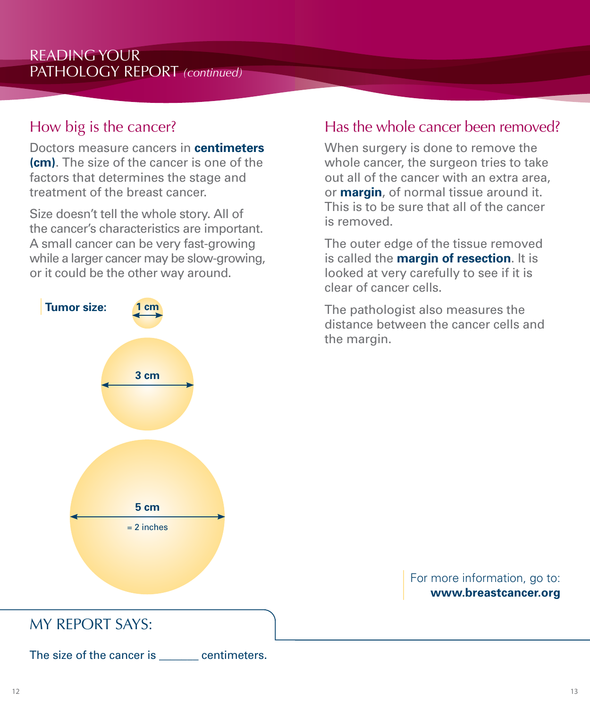# How big is the cancer?

Doctors measure cancers in **centimeters (cm)**. The size of the cancer is one of the factors that determines the stage and treatment of the breast cancer.

Size doesn't tell the whole story. All of the cancer's characteristics are important. A small cancer can be very fast-growing while a larger cancer may be slow-growing, or it could be the other way around.

# **5 cm**  $= 2$  inches **3 cm Tumor size: 1 cm**

# Has the whole cancer been removed?

When surgery is done to remove the whole cancer, the surgeon tries to take out all of the cancer with an extra area, or **margin**, of normal tissue around it. This is to be sure that all of the cancer is removed.

The outer edge of the tissue removed is called the **margin of resection**. It is looked at very carefully to see if it is clear of cancer cells.

The pathologist also measures the distance between the cancer cells and the margin.

> For more information, go to: **www.breastcancer.org**

# MY REPORT SAYS:

The size of the cancer is equal centimeters.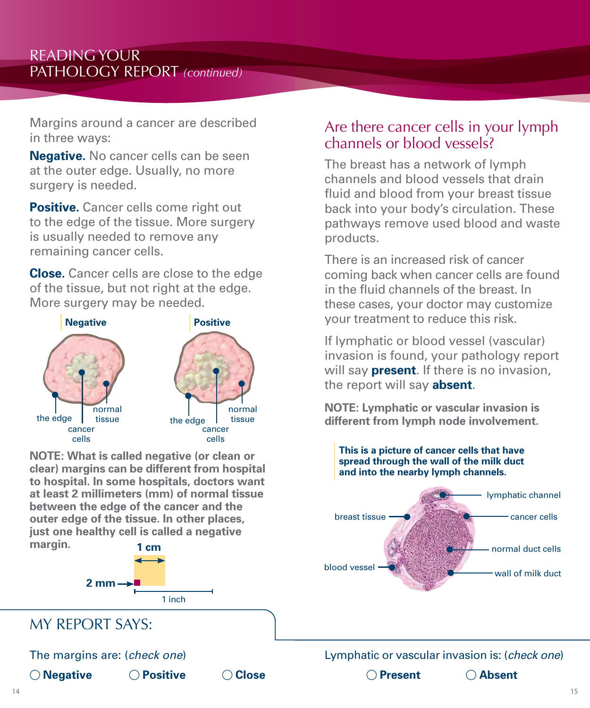Margins around a cancer are described in three ways:

**Negative.** No cancer cells can be seen at the outer edge. Usually, no more surgery is needed.

**Positive.** Cancer cells come right out to the edge of the tissue. More surgery is usually needed to remove any remaining cancer cells.

**Close.** Cancer cells are close to the edge of the tissue, but not right at the edge. More surgery may be needed.



**NOTE: What is called negative (or clean or clear) margins can be different from hospital to hospital. In some hospitals, doctors want at least 2 millimeters (mm) of normal tissue between the edge of the cancer and the outer edge of the tissue. In other places, just one healthy cell is called a negative margin. 1 cm**



# MY REPORT SAYS:

The margins are: (*check one*)

j **Negative** j **Positive** j **Close**

#### Are there cancer cells in your lymph channels or blood vessels?

The breast has a network of lymph channels and blood vessels that drain fluid and blood from your breast tissue back into your body's circulation. These pathways remove used blood and waste products.

There is an increased risk of cancer coming back when cancer cells are found in the fluid channels of the breast. In these cases, your doctor may customize your treatment to reduce this risk.

If lymphatic or blood vessel (vascular) invasion is found, your pathology report will say **present**. If there is no invasion, the report will say **absent**.

**NOTE: Lymphatic or vascular invasion is different from lymph node involvement.**

#### **This is a picture of cancer cells that have spread through the wall of the milk duct and into the nearby lymph channels.**



#### Lymphatic or vascular invasion is: (*check one*)

**O** Present △ Absent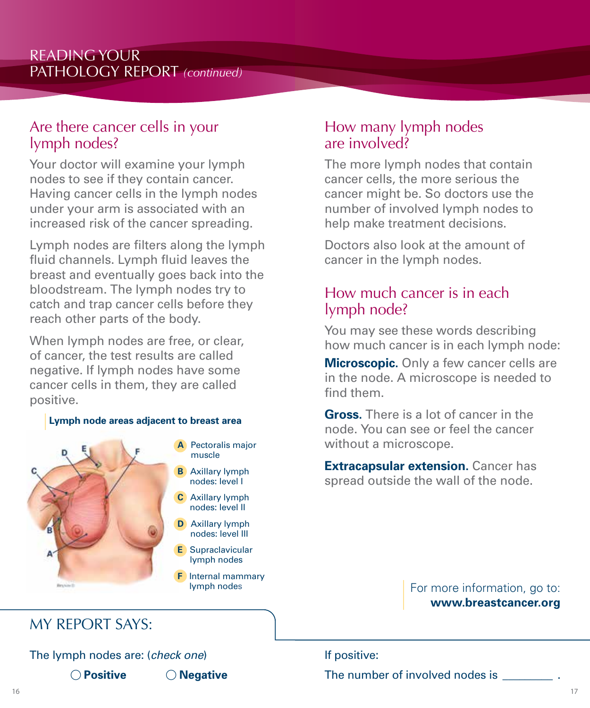#### Are there cancer cells in your lymph nodes?

Your doctor will examine your lymph nodes to see if they contain cancer. Having cancer cells in the lymph nodes under your arm is associated with an increased risk of the cancer spreading.

Lymph nodes are filters along the lymph fluid channels. Lymph fluid leaves the breast and eventually goes back into the bloodstream. The lymph nodes try to catch and trap cancer cells before they reach other parts of the body.

When lymph nodes are free, or clear, of cancer, the test results are called negative. If lymph nodes have some cancer cells in them, they are called positive.

#### **Lymph node areas adjacent to breast area**



- **A** Pectoralis major muscle
- **B** Axillary lymph nodes: level I
- **C** Axillary lymph nodes: level II
- **D** Axillary lymph nodes: level III
- **E** Supraclavicular lymph nodes
- **F** Internal mammary lymph nodes

#### How many lymph nodes are involved?

The more lymph nodes that contain cancer cells, the more serious the cancer might be. So doctors use the number of involved lymph nodes to help make treatment decisions.

Doctors also look at the amount of cancer in the lymph nodes.

#### How much cancer is in each lymph node?

You may see these words describing how much cancer is in each lymph node:

**Microscopic.** Only a few cancer cells are in the node. A microscope is needed to find them.

**Gross.** There is a lot of cancer in the node. You can see or feel the cancer without a microscope.

**Extracapsular extension.** Cancer has spread outside the wall of the node.

> For more information, go to: **www.breastcancer.org**

# MY REPORT SAYS:

The lymph nodes are: (*check one*) **O** Positive **D Negative** 

If positive: The number of involved nodes is \_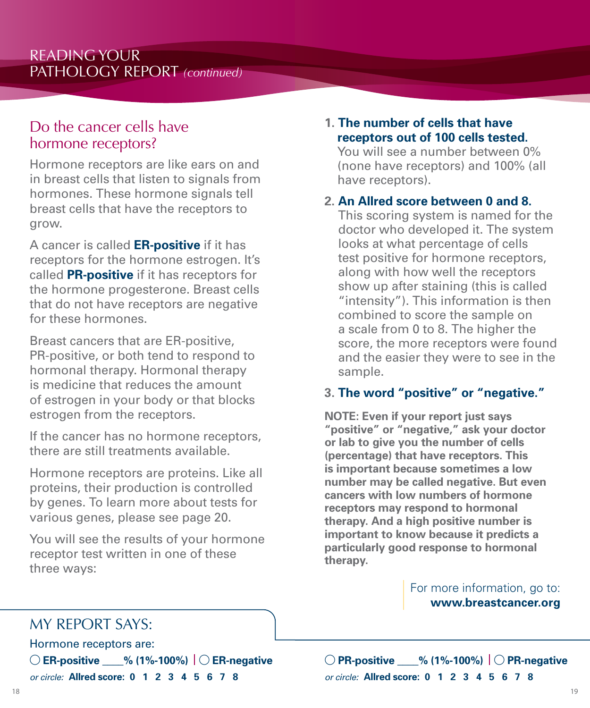#### Do the cancer cells have hormone receptors?

Hormone receptors are like ears on and in breast cells that listen to signals from hormones. These hormone signals tell breast cells that have the receptors to grow.

A cancer is called **ER-positive** if it has receptors for the hormone estrogen. It's called **PR-positive** if it has receptors for the hormone progesterone. Breast cells that do not have receptors are negative for these hormones.

Breast cancers that are ER-positive, PR-positive, or both tend to respond to hormonal therapy. Hormonal therapy is medicine that reduces the amount of estrogen in your body or that blocks estrogen from the receptors.

If the cancer has no hormone receptors, there are still treatments available.

Hormone receptors are proteins. Like all proteins, their production is controlled by genes. To learn more about tests for various genes, please see page 20.

You will see the results of your hormone receptor test written in one of these three ways:

#### **1. The number of cells that have receptors out of 100 cells tested.**

You will see a number between 0% (none have receptors) and 100% (all have receptors).

#### **2. An Allred score between 0 and 8.**

This scoring system is named for the doctor who developed it. The system looks at what percentage of cells test positive for hormone receptors, along with how well the receptors show up after staining (this is called "intensity"). This information is then combined to score the sample on a scale from 0 to 8. The higher the score, the more receptors were found and the easier they were to see in the sample.

#### **3. The word "positive" or "negative."**

**NOTE: Even if your report just says "positive" or "negative," ask your doctor or lab to give you the number of cells (percentage) that have receptors. This is important because sometimes a low number may be called negative. But even cancers with low numbers of hormone receptors may respond to hormonal therapy. And a high positive number is important to know because it predicts a particularly good response to hormonal therapy.**

> For more information, go to: **www.breastcancer.org**

# MY REPORT SAYS:

Hormone receptors are:

j **ER-positive \_\_\_\_% (1%-100%)** j **ER-negative** *or circle:* **Allred score: 0 1 2 3 4 5 6 7 8**

j **PR-positive \_\_\_\_% (1%-100%)** j **PR-negative** *or circle:* **Allred score: 0 1 2 3 4 5 6 7 8**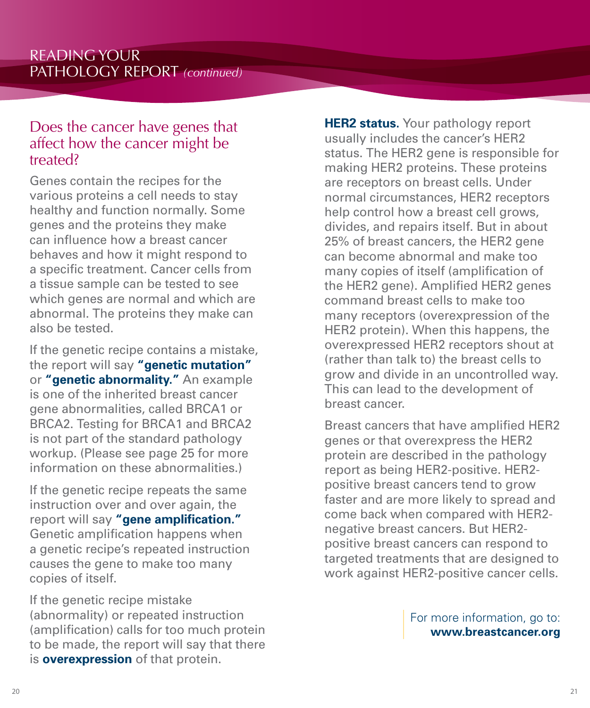#### Does the cancer have genes that affect how the cancer might be treated?

Genes contain the recipes for the various proteins a cell needs to stay healthy and function normally. Some genes and the proteins they make can influence how a breast cancer behaves and how it might respond to a specific treatment. Cancer cells from a tissue sample can be tested to see which genes are normal and which are abnormal. The proteins they make can also be tested.

If the genetic recipe contains a mistake, the report will say **"genetic mutation"** or **"genetic abnormality."** An example is one of the inherited breast cancer gene abnormalities, called BRCA1 or BRCA2. Testing for BRCA1 and BRCA2 is not part of the standard pathology workup. (Please see page 25 for more information on these abnormalities.)

If the genetic recipe repeats the same instruction over and over again, the report will say **"gene amplification."** Genetic amplification happens when a genetic recipe's repeated instruction causes the gene to make too many copies of itself.

If the genetic recipe mistake (abnormality) or repeated instruction (amplification) calls for too much protein to be made, the report will say that there is **overexpression** of that protein.

**HER2 status.** Your pathology report usually includes the cancer's HER2 status. The HER2 gene is responsible for making HER2 proteins. These proteins are receptors on breast cells. Under normal circumstances, HER2 receptors help control how a breast cell grows, divides, and repairs itself. But in about 25% of breast cancers, the HER2 gene can become abnormal and make too many copies of itself (amplification of the HER2 gene). Amplified HER2 genes command breast cells to make too many receptors (overexpression of the HER2 protein). When this happens, the overexpressed HER2 receptors shout at (rather than talk to) the breast cells to grow and divide in an uncontrolled way. This can lead to the development of breast cancer.

Breast cancers that have amplified HER2 genes or that overexpress the HER2 protein are described in the pathology report as being HER2-positive. HER2 positive breast cancers tend to grow faster and are more likely to spread and come back when compared with HER2 negative breast cancers. But HER2 positive breast cancers can respond to targeted treatments that are designed to work against HER2-positive cancer cells.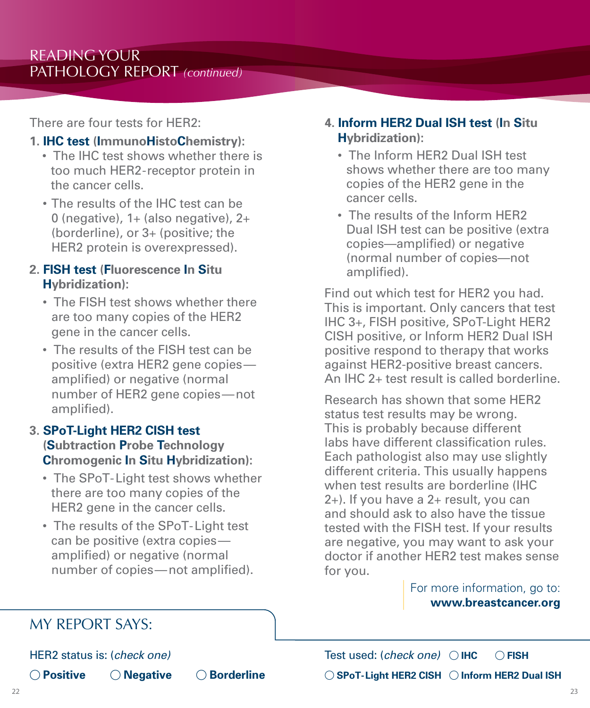There are four tests for HER2:

#### **1. IHC test (ImmunoHistoChemistry):**

- The IHC test shows whether there is too much HER2-receptor protein in the cancer cells.
- The results of the IHC test can be 0 (negative),  $1+$  (also negative),  $2+$ (borderline), or 3+ (positive; the HER2 protein is overexpressed).

#### **2. FISH test (Fluorescence In Situ Hybridization):**

- The FISH test shows whether there are too many copies of the HER2 gene in the cancer cells.
- The results of the FISH test can be positive (extra HER2 gene copies amplified) or negative (normal number of HER2 gene copies—not amplified).

#### **3. SPoT-Light HER2 CISH test (Subtraction Probe Technology Chromogenic In Situ Hybridization):**

- The SPoT-Light test shows whether there are too many copies of the HER2 gene in the cancer cells.
- The results of the SPoT-Light test can be positive (extra copies amplified) or negative (normal number of copies—not amplified).

#### **4. Inform HER2 Dual ISH test (In Situ Hybridization):**

- The Inform HER2 Dual ISH test shows whether there are too many copies of the HER2 gene in the cancer cells.
- The results of the Inform HER2 Dual ISH test can be positive (extra copies—amplified) or negative (normal number of copies—not amplified).

Find out which test for HER2 you had. This is important. Only cancers that test IHC 3+, FISH positive, SPoT-Light HER2 CISH positive, or Inform HER2 Dual ISH positive respond to therapy that works against HER2-positive breast cancers. An IHC 2+ test result is called borderline.

Research has shown that some HER2 status test results may be wrong. This is probably because different labs have different classification rules. Each pathologist also may use slightly different criteria. This usually happens when test results are borderline (IHC 2+). If you have a 2+ result, you can and should ask to also have the tissue tested with the FISH test. If your results are negative, you may want to ask your doctor if another HER2 test makes sense for you.

> For more information, go to: **www.breastcancer.org**

# MY REPORT SAYS:

HER2 status is: (*check one)*

**O Positive O Negative O Borderline** 

Test used: (*check one*)  $\bigcirc$  IHC  $\bigcirc$  FISH  $\bigcirc$  SPoT-Light HER2 CISH  $\bigcirc$  Inform HER2 Dual ISH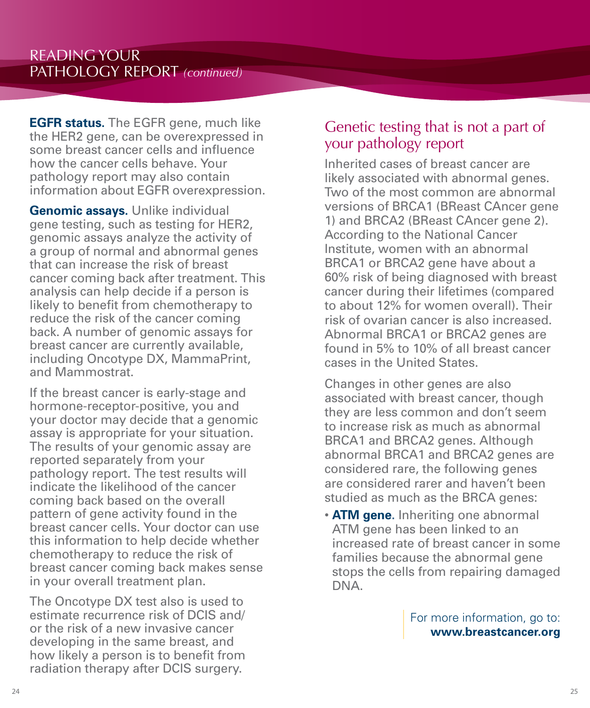**EGFR status.** The EGFR gene, much like the HER2 gene, can be overexpressed in some breast cancer cells and influence how the cancer cells behave. Your pathology report may also contain information about EGFR overexpression.

**Genomic assays.** Unlike individual gene testing, such as testing for HER2, genomic assays analyze the activity of a group of normal and abnormal genes that can increase the risk of breast cancer coming back after treatment. This analysis can help decide if a person is likely to benefit from chemotherapy to reduce the risk of the cancer coming back. A number of genomic assays for breast cancer are currently available, including Oncotype DX, MammaPrint, and Mammostrat.

If the breast cancer is early-stage and hormone-receptor-positive, you and your doctor may decide that a genomic assay is appropriate for your situation. The results of your genomic assay are reported separately from your pathology report. The test results will indicate the likelihood of the cancer coming back based on the overall pattern of gene activity found in the breast cancer cells. Your doctor can use this information to help decide whether chemotherapy to reduce the risk of breast cancer coming back makes sense in your overall treatment plan.

The Oncotype DX test also is used to estimate recurrence risk of DCIS and/ or the risk of a new invasive cancer developing in the same breast, and how likely a person is to benefit from radiation therapy after DCIS surgery.

#### Genetic testing that is not a part of your pathology report

Inherited cases of breast cancer are likely associated with abnormal genes. Two of the most common are abnormal versions of BRCA1 (BReast CAncer gene 1) and BRCA2 (BReast CAncer gene 2). According to the National Cancer Institute, women with an abnormal BRCA1 or BRCA2 gene have about a 60% risk of being diagnosed with breast cancer during their lifetimes (compared to about 12% for women overall). Their risk of ovarian cancer is also increased. Abnormal BRCA1 or BRCA2 genes are found in 5% to 10% of all breast cancer cases in the United States.

Changes in other genes are also associated with breast cancer, though they are less common and don't seem to increase risk as much as abnormal BRCA1 and BRCA2 genes. Although abnormal BRCA1 and BRCA2 genes are considered rare, the following genes are considered rarer and haven't been studied as much as the BRCA genes:

• **ATM gene.** Inheriting one abnormal ATM gene has been linked to an increased rate of breast cancer in some families because the abnormal gene stops the cells from repairing damaged DNA.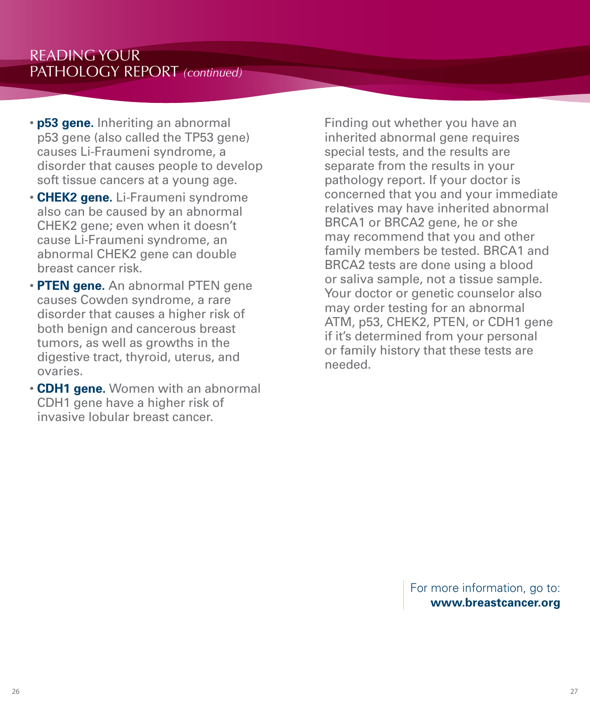- **p53 gene.** Inheriting an abnormal p53 gene (also called the TP53 gene) causes Li-Fraumeni syndrome, a disorder that causes people to develop soft tissue cancers at a young age.
- **CHEK2 gene.** Li-Fraumeni syndrome also can be caused by an abnormal CHEK2 gene; even when it doesn't cause Li-Fraumeni syndrome, an abnormal CHEK2 gene can double breast cancer risk.
- **PTEN gene.** An abnormal PTEN gene causes Cowden syndrome, a rare disorder that causes a higher risk of both benign and cancerous breast tumors, as well as growths in the digestive tract, thyroid, uterus, and ovaries.
- **CDH1 gene.** Women with an abnormal CDH1 gene have a higher risk of invasive lobular breast cancer.

Finding out whether you have an inherited abnormal gene requires special tests, and the results are separate from the results in your pathology report. If your doctor is concerned that you and your immediate relatives may have inherited abnormal BRCA1 or BRCA2 gene, he or she may recommend that you and other family members be tested. BRCA1 and BRCA2 tests are done using a blood or saliva sample, not a tissue sample. Your doctor or genetic counselor also may order testing for an abnormal ATM, p53, CHEK2, PTEN, or CDH1 gene if it's determined from your personal or family history that these tests are needed.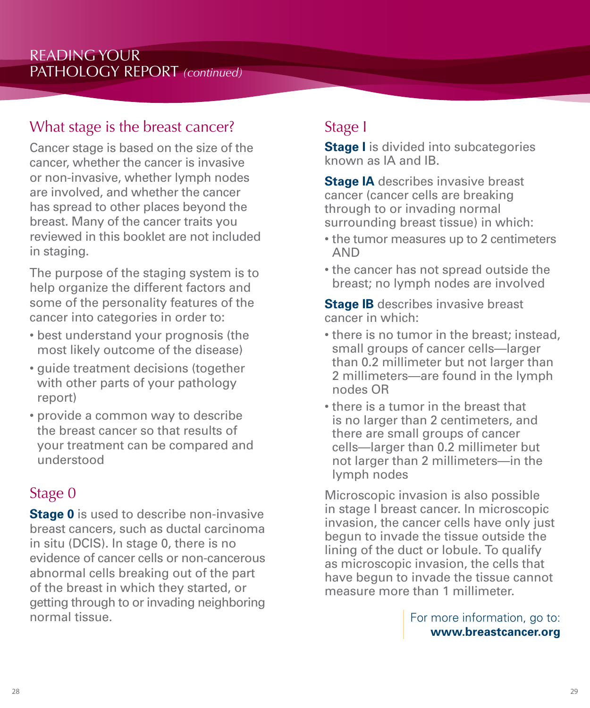# What stage is the breast cancer?

Cancer stage is based on the size of the cancer, whether the cancer is invasive or non-invasive, whether lymph nodes are involved, and whether the cancer has spread to other places beyond the breast. Many of the cancer traits you reviewed in this booklet are not included in staging.

The purpose of the staging system is to help organize the different factors and some of the personality features of the cancer into categories in order to:

- best understand your prognosis (the most likely outcome of the disease)
- guide treatment decisions (together with other parts of your pathology report)
- provide a common way to describe the breast cancer so that results of your treatment can be compared and understood

# Stage 0

**Stage 0** is used to describe non-invasive breast cancers, such as ductal carcinoma in situ (DCIS). In stage 0, there is no evidence of cancer cells or non-cancerous abnormal cells breaking out of the part of the breast in which they started, or getting through to or invading neighboring normal tissue.

# Stage I

**Stage I** is divided into subcategories known as IA and IB.

**Stage IA** describes invasive breast cancer (cancer cells are breaking through to or invading normal surrounding breast tissue) in which:

- the tumor measures up to 2 centimeters AND
- the cancer has not spread outside the breast; no lymph nodes are involved

**Stage IB** describes invasive breast cancer in which:

- there is no tumor in the breast; instead, small groups of cancer cells—larger than 0.2 millimeter but not larger than 2 millimeters—are found in the lymph nodes OR
- there is a tumor in the breast that is no larger than 2 centimeters, and there are small groups of cancer cells—larger than 0.2 millimeter but not larger than 2 millimeters—in the lymph nodes

Microscopic invasion is also possible in stage I breast cancer. In microscopic invasion, the cancer cells have only just begun to invade the tissue outside the lining of the duct or lobule. To qualify as microscopic invasion, the cells that have begun to invade the tissue cannot measure more than 1 millimeter.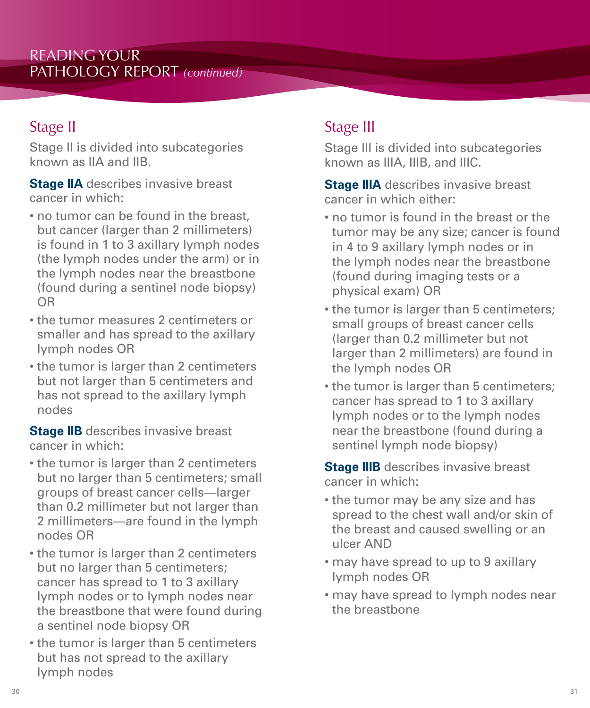# Stage II

Stage II is divided into subcategories known as IIA and IIB.

**Stage IIA** describes invasive breast cancer in which:

- no tumor can be found in the breast, but cancer (larger than 2 millimeters) is found in 1 to 3 axillary lymph nodes (the lymph nodes under the arm) or in the lymph nodes near the breastbone (found during a sentinel node biopsy) OR
- the tumor measures 2 centimeters or smaller and has spread to the axillary lymph nodes OR
- the tumor is larger than 2 centimeters but not larger than 5 centimeters and has not spread to the axillary lymph nodes

**Stage IIB** describes invasive breast cancer in which:

- the tumor is larger than 2 centimeters but no larger than 5 centimeters; small groups of breast cancer cells—larger than 0.2 millimeter but not larger than 2 millimeters—are found in the lymph nodes OR
- the tumor is larger than 2 centimeters but no larger than 5 centimeters; cancer has spread to 1 to 3 axillary lymph nodes or to lymph nodes near the breastbone that were found during a sentinel node biopsy OR
- the tumor is larger than 5 centimeters but has not spread to the axillary lymph nodes

# Stage III

Stage III is divided into subcategories known as IIIA, IIIB, and IIIC.

**Stage IIIA** describes invasive breast cancer in which either:

- no tumor is found in the breast or the tumor may be any size; cancer is found in 4 to 9 axillary lymph nodes or in the lymph nodes near the breastbone (found during imaging tests or a physical exam) OR
- the tumor is larger than 5 centimeters; small groups of breast cancer cells (larger than 0.2 millimeter but not larger than 2 millimeters) are found in the lymph nodes OR
- the tumor is larger than 5 centimeters; cancer has spread to 1 to 3 axillary lymph nodes or to the lymph nodes near the breastbone (found during a sentinel lymph node biopsy)

**Stage IIIB** describes invasive breast cancer in which:

- the tumor may be any size and has spread to the chest wall and/or skin of the breast and caused swelling or an ulcer AND
- may have spread to up to 9 axillary lymph nodes OR
- may have spread to lymph nodes near the breastbone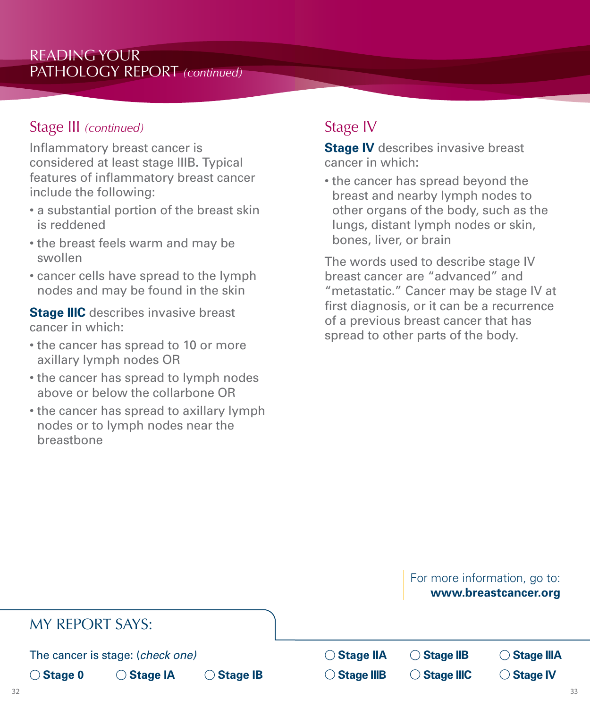#### Stage III *(continued)*

Inflammatory breast cancer is considered at least stage IIIB. Typical features of inflammatory breast cancer include the following:

- a substantial portion of the breast skin is reddened
- the breast feels warm and may be swollen
- cancer cells have spread to the lymph nodes and may be found in the skin

**Stage IIIC** describes invasive breast cancer in which:

- the cancer has spread to 10 or more axillary lymph nodes OR
- the cancer has spread to lymph nodes above or below the collarbone OR
- the cancer has spread to axillary lymph nodes or to lymph nodes near the breastbone

# Stage IV

**Stage IV** describes invasive breast cancer in which:

• the cancer has spread beyond the breast and nearby lymph nodes to other organs of the body, such as the lungs, distant lymph nodes or skin, bones, liver, or brain

The words used to describe stage IV breast cancer are "advanced" and "metastatic." Cancer may be stage IV at first diagnosis, or it can be a recurrence of a previous breast cancer that has spread to other parts of the body.

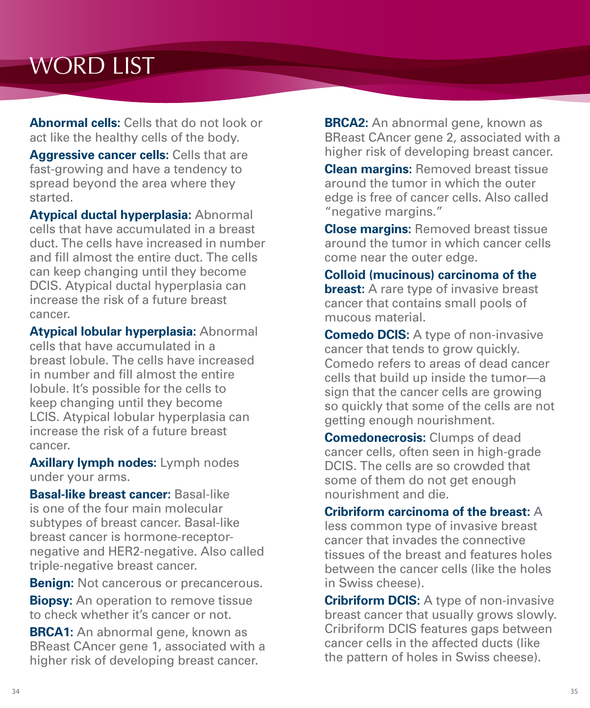# WORD LIST

**Abnormal cells:** Cells that do not look or act like the healthy cells of the body.

**Aggressive cancer cells:** Cells that are fast-growing and have a tendency to spread beyond the area where they started.

**Atypical ductal hyperplasia:** Abnormal cells that have accumulated in a breast duct. The cells have increased in number and fill almost the entire duct. The cells can keep changing until they become DCIS. Atypical ductal hyperplasia can increase the risk of a future breast cancer.

**Atypical lobular hyperplasia:** Abnormal cells that have accumulated in a breast lobule. The cells have increased in number and fill almost the entire lobule. It's possible for the cells to keep changing until they become LCIS. Atypical lobular hyperplasia can increase the risk of a future breast cancer.

**Axillary lymph nodes:** Lymph nodes under your arms.

**Basal-like breast cancer:** Basal-like is one of the four main molecular subtypes of breast cancer. Basal-like breast cancer is hormone-receptornegative and HER2-negative. Also called triple-negative breast cancer.

**Benign:** Not cancerous or precancerous.

**Biopsy:** An operation to remove tissue to check whether it's cancer or not.

**BRCA1:** An abnormal gene, known as BReast CAncer gene 1, associated with a higher risk of developing breast cancer.

**BRCA2:** An abnormal gene, known as BReast CAncer gene 2, associated with a higher risk of developing breast cancer.

**Clean margins:** Removed breast tissue around the tumor in which the outer edge is free of cancer cells. Also called "negative margins."

**Close margins:** Removed breast tissue around the tumor in which cancer cells come near the outer edge.

**Colloid (mucinous) carcinoma of the breast:** A rare type of invasive breast cancer that contains small pools of mucous material.

**Comedo DCIS:** A type of non-invasive cancer that tends to grow quickly. Comedo refers to areas of dead cancer cells that build up inside the tumor—a sign that the cancer cells are growing so quickly that some of the cells are not getting enough nourishment.

**Comedonecrosis:** Clumps of dead cancer cells, often seen in high-grade DCIS. The cells are so crowded that some of them do not get enough nourishment and die.

**Cribriform carcinoma of the breast:** A less common type of invasive breast cancer that invades the connective tissues of the breast and features holes between the cancer cells (like the holes in Swiss cheese).

**Cribriform DCIS:** A type of non-invasive breast cancer that usually grows slowly. Cribriform DCIS features gaps between cancer cells in the affected ducts (like the pattern of holes in Swiss cheese).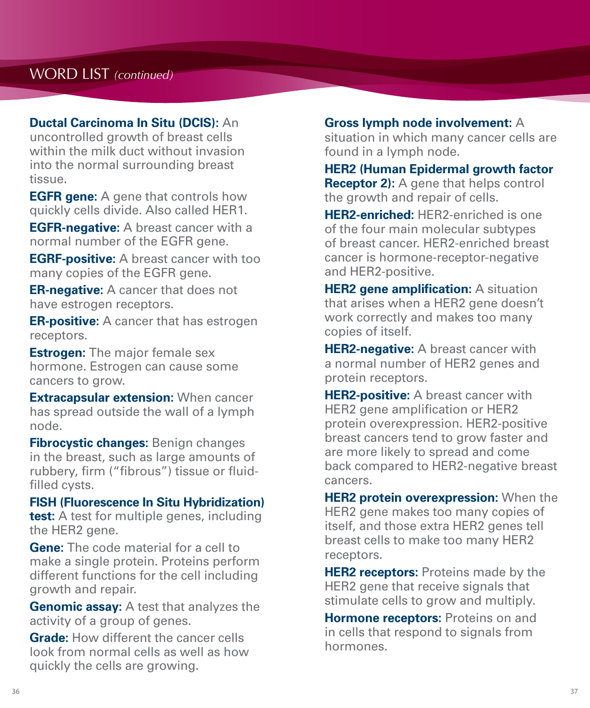#### **Ductal Carcinoma In Situ (DCIS):** An

uncontrolled growth of breast cells within the milk duct without invasion into the normal surrounding breast tissue.

**EGFR gene:** A gene that controls how quickly cells divide. Also called HER1.

**EGFR-negative:** A breast cancer with a normal number of the EGFR gene.

**EGRF-positive:** A breast cancer with too many copies of the EGFR gene.

**ER-negative:** A cancer that does not have estrogen receptors.

**ER-positive:** A cancer that has estrogen receptors.

**Estrogen:** The major female sex hormone. Estrogen can cause some cancers to grow.

**Extracapsular extension:** When cancer has spread outside the wall of a lymph node.

**Fibrocystic changes:** Benign changes in the breast, such as large amounts of rubbery, firm ("fibrous") tissue or fluidfilled cysts.

#### **FISH (Fluorescence In Situ Hybridization)**

**test:** A test for multiple genes, including the HER2 gene.

**Gene:** The code material for a cell to make a single protein. Proteins perform different functions for the cell including growth and repair.

**Genomic assay:** A test that analyzes the activity of a group of genes.

**Grade:** How different the cancer cells look from normal cells as well as how quickly the cells are growing.

#### **Gross lymph node involvement:** A

situation in which many cancer cells are found in a lymph node.

#### **HER2 (Human Epidermal growth factor Receptor 2):** A gene that helps control the growth and repair of cells.

**HER2-enriched:** HER2-enriched is one of the four main molecular subtypes of breast cancer. HER2-enriched breast cancer is hormone-receptor-negative and HER2-positive.

**HER2 gene amplification:** A situation that arises when a HER2 gene doesn't work correctly and makes too many copies of itself.

**HER2-negative:** A breast cancer with a normal number of HER2 genes and protein receptors.

**HER2-positive:** A breast cancer with HER2 gene amplification or HER2 protein overexpression. HER2-positive breast cancers tend to grow faster and are more likely to spread and come back compared to HER2-negative breast cancers.

**HER2 protein overexpression:** When the HER2 gene makes too many copies of itself, and those extra HER2 genes tell breast cells to make too many HER2 receptors.

**HER2 receptors:** Proteins made by the HER2 gene that receive signals that stimulate cells to grow and multiply.

**Hormone receptors:** Proteins on and in cells that respond to signals from hormones.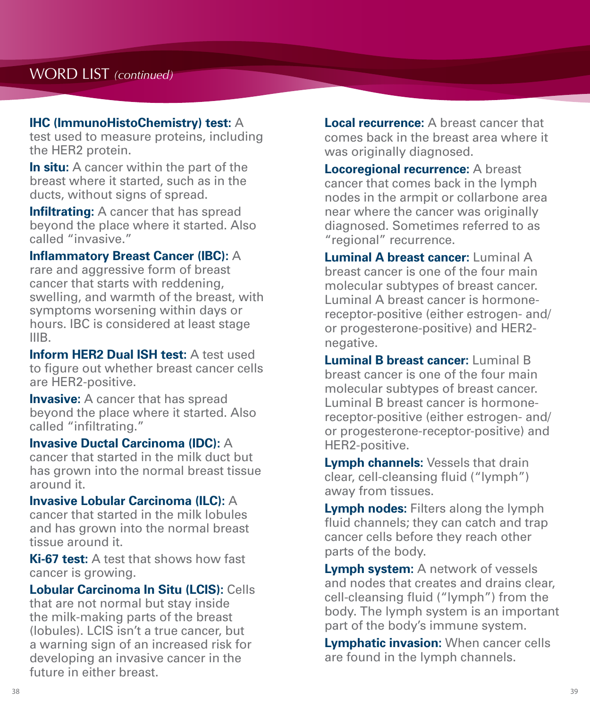#### **IHC (ImmunoHistoChemistry) test:** A

test used to measure proteins, including the HER2 protein.

**In situ:** A cancer within the part of the breast where it started, such as in the ducts, without signs of spread.

**Infiltrating:** A cancer that has spread beyond the place where it started. Also called "invasive."

**Inflammatory Breast Cancer (IBC):** A rare and aggressive form of breast cancer that starts with reddening, swelling, and warmth of the breast, with symptoms worsening within days or hours. IBC is considered at least stage IIIB.

**Inform HER2 Dual ISH test:** A test used to figure out whether breast cancer cells are HER2-positive.

**Invasive:** A cancer that has spread beyond the place where it started. Also called "infiltrating."

**Invasive Ductal Carcinoma (IDC):** A cancer that started in the milk duct but has grown into the normal breast tissue around it.

**Invasive Lobular Carcinoma (ILC):** A cancer that started in the milk lobules and has grown into the normal breast tissue around it.

**Ki-67 test:** A test that shows how fast cancer is growing.

**Lobular Carcinoma In Situ (LCIS):** Cells that are not normal but stay inside the milk-making parts of the breast (lobules). LCIS isn't a true cancer, but a warning sign of an increased risk for developing an invasive cancer in the future in either breast.

**Local recurrence:** A breast cancer that comes back in the breast area where it was originally diagnosed.

**Locoregional recurrence:** A breast cancer that comes back in the lymph nodes in the armpit or collarbone area near where the cancer was originally diagnosed. Sometimes referred to as "regional" recurrence.

**Luminal A breast cancer:** Luminal A breast cancer is one of the four main molecular subtypes of breast cancer. Luminal A breast cancer is hormonereceptor-positive (either estrogen- and/ or progesterone-positive) and HER2 negative.

**Luminal B breast cancer:** Luminal B breast cancer is one of the four main molecular subtypes of breast cancer. Luminal B breast cancer is hormonereceptor-positive (either estrogen- and/ or progesterone-receptor-positive) and HER2-positive.

**Lymph channels:** Vessels that drain clear, cell-cleansing fluid ("lymph") away from tissues.

**Lymph nodes:** Filters along the lymph fluid channels; they can catch and trap cancer cells before they reach other parts of the body.

**Lymph system:** A network of vessels and nodes that creates and drains clear, cell-cleansing fluid ("lymph") from the body. The lymph system is an important part of the body's immune system.

**Lymphatic invasion:** When cancer cells are found in the lymph channels.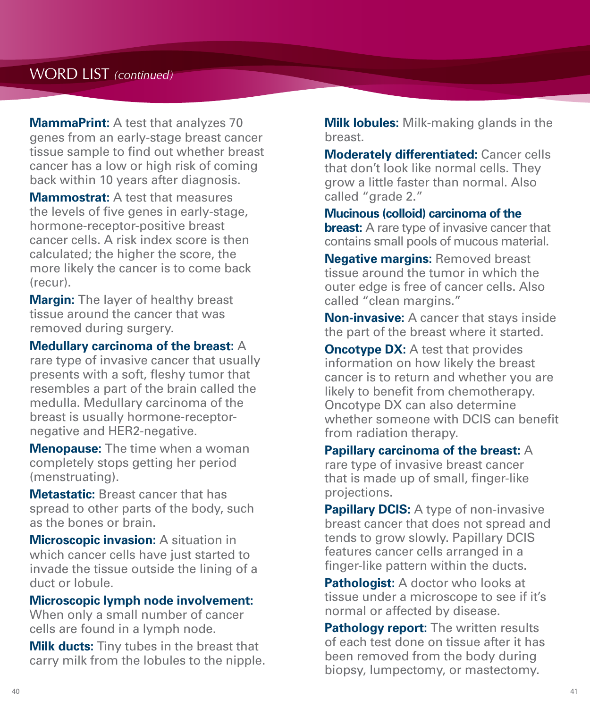#### WORD LIST *(continued)*

**MammaPrint:** A test that analyzes 70 genes from an early-stage breast cancer tissue sample to find out whether breast cancer has a low or high risk of coming back within 10 years after diagnosis.

**Mammostrat:** A test that measures the levels of five genes in early-stage, hormone-receptor-positive breast cancer cells. A risk index score is then calculated; the higher the score, the more likely the cancer is to come back (recur).

**Margin:** The layer of healthy breast tissue around the cancer that was removed during surgery.

**Medullary carcinoma of the breast:** A

rare type of invasive cancer that usually presents with a soft, fleshy tumor that resembles a part of the brain called the medulla. Medullary carcinoma of the breast is usually hormone-receptornegative and HER2-negative.

**Menopause:** The time when a woman completely stops getting her period (menstruating).

**Metastatic:** Breast cancer that has spread to other parts of the body, such as the bones or brain.

**Microscopic invasion:** A situation in which cancer cells have just started to invade the tissue outside the lining of a duct or lobule.

#### **Microscopic lymph node involvement:**

When only a small number of cancer cells are found in a lymph node.

**Milk ducts:** Tiny tubes in the breast that carry milk from the lobules to the nipple. **Milk lobules:** Milk-making glands in the breast.

**Moderately differentiated:** Cancer cells that don't look like normal cells. They grow a little faster than normal. Also called "grade 2."

**Mucinous (colloid) carcinoma of the breast:** A rare type of invasive cancer that contains small pools of mucous material.

**Negative margins: Removed breast** tissue around the tumor in which the outer edge is free of cancer cells. Also called "clean margins."

**Non-invasive:** A cancer that stays inside the part of the breast where it started.

**Oncotype DX:** A test that provides information on how likely the breast cancer is to return and whether you are likely to benefit from chemotherapy. Oncotype DX can also determine whether someone with DCIS can benefit from radiation therapy.

**Papillary carcinoma of the breast:** A rare type of invasive breast cancer that is made up of small, finger-like projections.

**Papillary DCIS:** A type of non-invasive breast cancer that does not spread and tends to grow slowly. Papillary DCIS features cancer cells arranged in a finger-like pattern within the ducts.

**Pathologist:** A doctor who looks at tissue under a microscope to see if it's normal or affected by disease.

**Pathology report:** The written results of each test done on tissue after it has been removed from the body during biopsy, lumpectomy, or mastectomy.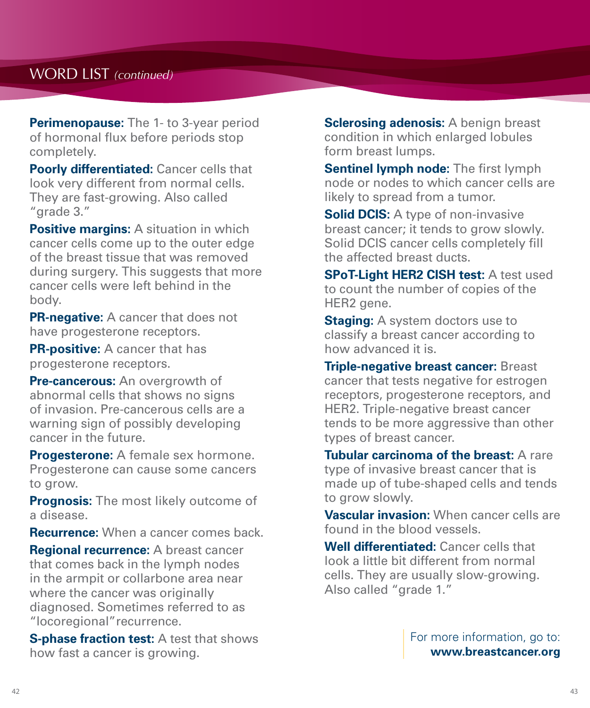## WORD LIST *(continued)*

**Perimenopause:** The 1- to 3-year period of hormonal flux before periods stop completely.

**Poorly differentiated:** Cancer cells that look very different from normal cells. They are fast-growing. Also called "grade 3."

**Positive margins:** A situation in which cancer cells come up to the outer edge of the breast tissue that was removed during surgery. This suggests that more cancer cells were left behind in the body.

**PR-negative:** A cancer that does not have progesterone receptors.

**PR-positive:** A cancer that has progesterone receptors.

**Pre-cancerous:** An overgrowth of abnormal cells that shows no signs of invasion. Pre-cancerous cells are a warning sign of possibly developing cancer in the future.

**Progesterone:** A female sex hormone. Progesterone can cause some cancers to grow.

**Prognosis:** The most likely outcome of a disease.

**Recurrence:** When a cancer comes back.

**Regional recurrence:** A breast cancer that comes back in the lymph nodes in the armpit or collarbone area near where the cancer was originally diagnosed. Sometimes referred to as "locoregional"recurrence.

**S-phase fraction test:** A test that shows how fast a cancer is growing.

**Sclerosing adenosis:** A benign breast condition in which enlarged lobules form breast lumps.

**Sentinel lymph node:** The first lymph node or nodes to which cancer cells are likely to spread from a tumor.

**Solid DCIS:** A type of non-invasive breast cancer; it tends to grow slowly. Solid DCIS cancer cells completely fill the affected breast ducts.

**SPoT-Light HER2 CISH test:** A test used to count the number of copies of the HER2 gene.

**Staging:** A system doctors use to classify a breast cancer according to how advanced it is.

**Triple-negative breast cancer:** Breast cancer that tests negative for estrogen receptors, progesterone receptors, and HER2. Triple-negative breast cancer tends to be more aggressive than other types of breast cancer.

**Tubular carcinoma of the breast:** A rare type of invasive breast cancer that is made up of tube-shaped cells and tends to grow slowly.

**Vascular invasion:** When cancer cells are found in the blood vessels.

**Well differentiated:** Cancer cells that look a little bit different from normal cells. They are usually slow-growing. Also called "grade 1."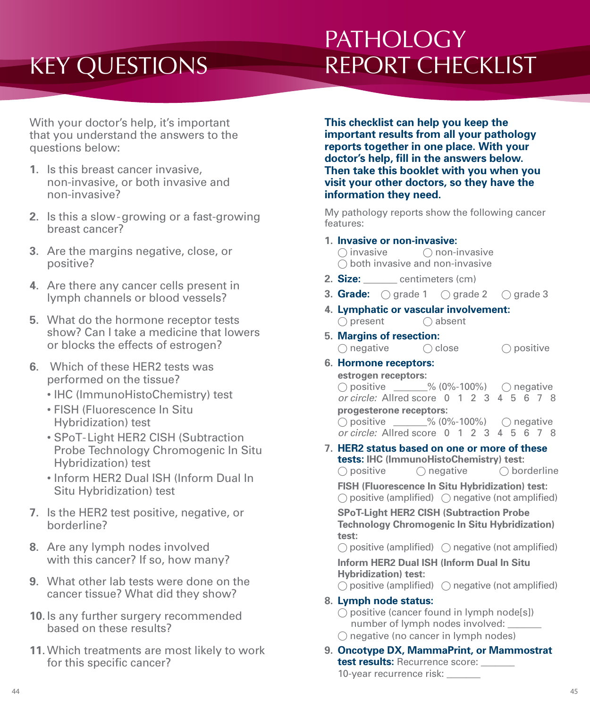# KEY QUESTIONS

# **PATHOLOGY** REPORT CHECKLIST

With your doctor's help, it's important that you understand the answers to the questions below:

- **1**. Is this breast cancer invasive, non-invasive, or both invasive and non-invasive?
- **2**. Is this a slow-growing or a fast-growing breast cancer?
- **3**. Are the margins negative, close, or positive?
- **4**. Are there any cancer cells present in lymph channels or blood vessels?
- **5**. What do the hormone receptor tests show? Can I take a medicine that lowers or blocks the effects of estrogen?
- **6**. Which of these HER2 tests was performed on the tissue?
	- IHC (ImmunoHistoChemistry) test
	- FISH (Fluorescence In Situ Hybridization) test
	- SPoT-Light HER2 CISH (Subtraction Probe Technology Chromogenic In Situ Hybridization) test
	- Inform HER2 Dual ISH (Inform Dual In Situ Hybridization) test
- **7**. Is the HER2 test positive, negative, or borderline?
- **8**. Are any lymph nodes involved with this cancer? If so, how many?
- **9**. What other lab tests were done on the cancer tissue? What did they show?
- **10**. Is any further surgery recommended based on these results?
- **11**. Which treatments are most likely to work for this specific cancer?

**This checklist can help you keep the important results from all your pathology reports together in one place. With your doctor's help, fill in the answers below. Then take this booklet with you when you visit your other doctors, so they have the information they need.**

My pathology reports show the following cancer features:

**1. Invasive or non-invasive:**

 $\bigcap$  invasive  $\bigcap$  non-invasive  $\bigcirc$  both invasive and non-invasive

- **2. Size:** \_\_\_\_\_\_\_ centimeters (cm)
- **3. Grade:**  $\bigcap$  grade 1  $\bigcap$  grade 2  $\bigcap$  grade 3
- **4. Lymphatic or vascular involvement:**  $\bigcap$  present  $\bigcap$  absent
- **5. Margins of resection:**  $\bigcirc$  negative  $\bigcirc$  close  $\bigcirc$  positive

#### **6. Hormone receptors:**

**estrogen receptors:**  $\bigcirc$  positive  $\qquad\qquad\%$  (0%-100%)  $\bigcirc$  negative *or circle:* Allred score 0 1 2 3 4 5 6 7 8 **progesterone receptors:**  $\bigcirc$  positive  $\qquad \qquad \frac{9}{6}$  (0%-100%)  $\qquad \bigcirc$  negative *or circle:* Allred score 0 1 2 3 4 5 6 7 8

**7. HER2 status based on one or more of these tests: IHC (ImmunoHistoChemistry) test:**  $\bigcirc$  positive  $\bigcirc$  negative  $\bigcirc$  borderline

**FISH (Fluorescence In Situ Hybridization) test:**

 $\bigcirc$  positive (amplified)  $\bigcirc$  negative (not amplified)

**SPoT-Light HER2 CISH (Subtraction Probe Technology Chromogenic In Situ Hybridization) test:**

 $\bigcirc$  positive (amplified)  $\bigcirc$  negative (not amplified)

**Inform HER2 Dual ISH (Inform Dual In Situ Hybridization) test:**

 $\bigcirc$  positive (amplified)  $\bigcirc$  negative (not amplified)

#### **8. Lymph node status:**

 $\bigcirc$  positive (cancer found in lymph node[s]) number of lymph nodes involved:

- $\bigcirc$  negative (no cancer in lymph nodes)
- **9. Oncotype DX, MammaPrint, or Mammostrat test results:** Recurrence score: 10-year recurrence risk: \_\_\_\_\_\_\_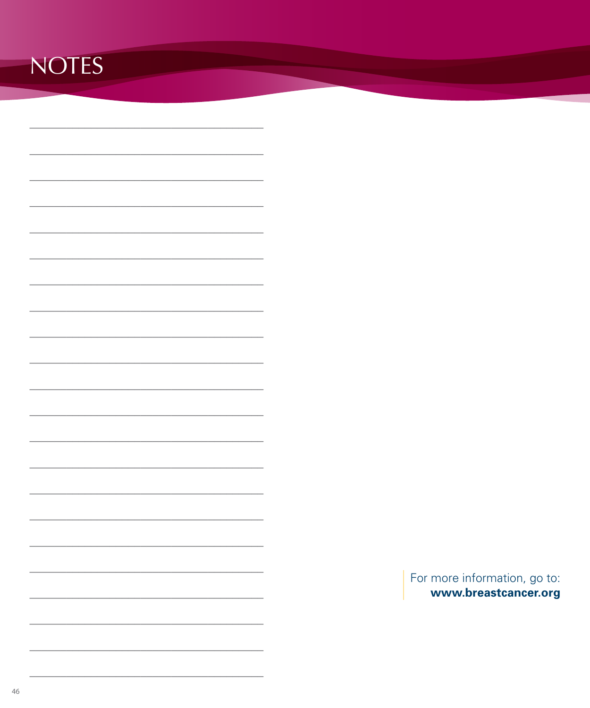# **NOTES**